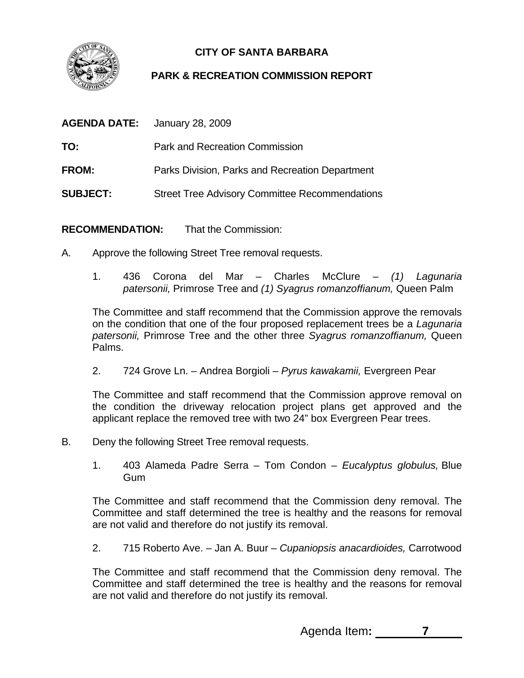

## **CITY OF SANTA BARBARA**

## **PARK & RECREATION COMMISSION REPORT**

|                 | <b>AGENDA DATE:</b> January 28, 2009                  |
|-----------------|-------------------------------------------------------|
| TO:             | <b>Park and Recreation Commission</b>                 |
| <b>FROM:</b>    | Parks Division, Parks and Recreation Department       |
| <b>SUBJECT:</b> | <b>Street Tree Advisory Committee Recommendations</b> |

**RECOMMENDATION:** That the Commission:

- A. Approve the following Street Tree removal requests.
	- 1. 436 Corona del Mar Charles McClure *(1) Lagunaria patersonii,* Primrose Tree and *(1) Syagrus romanzoffianum,* Queen Palm

The Committee and staff recommend that the Commission approve the removals on the condition that one of the four proposed replacement trees be a *Lagunaria patersonii,* Primrose Tree and the other three *Syagrus romanzoffianum,* Queen Palms.

2. 724 Grove Ln. – Andrea Borgioli – *Pyrus kawakamii,* Evergreen Pear

The Committee and staff recommend that the Commission approve removal on the condition the driveway relocation project plans get approved and the applicant replace the removed tree with two 24" box Evergreen Pear trees.

- B. Deny the following Street Tree removal requests.
	- 1. 403 Alameda Padre Serra Tom Condon *Eucalyptus globulus,* Blue Gum

The Committee and staff recommend that the Commission deny removal. The Committee and staff determined the tree is healthy and the reasons for removal are not valid and therefore do not justify its removal.

2. 715 Roberto Ave. – Jan A. Buur – *Cupaniopsis anacardioides,* Carrotwood

The Committee and staff recommend that the Commission deny removal. The Committee and staff determined the tree is healthy and the reasons for removal are not valid and therefore do not justify its removal.

Agenda Item**: 7**